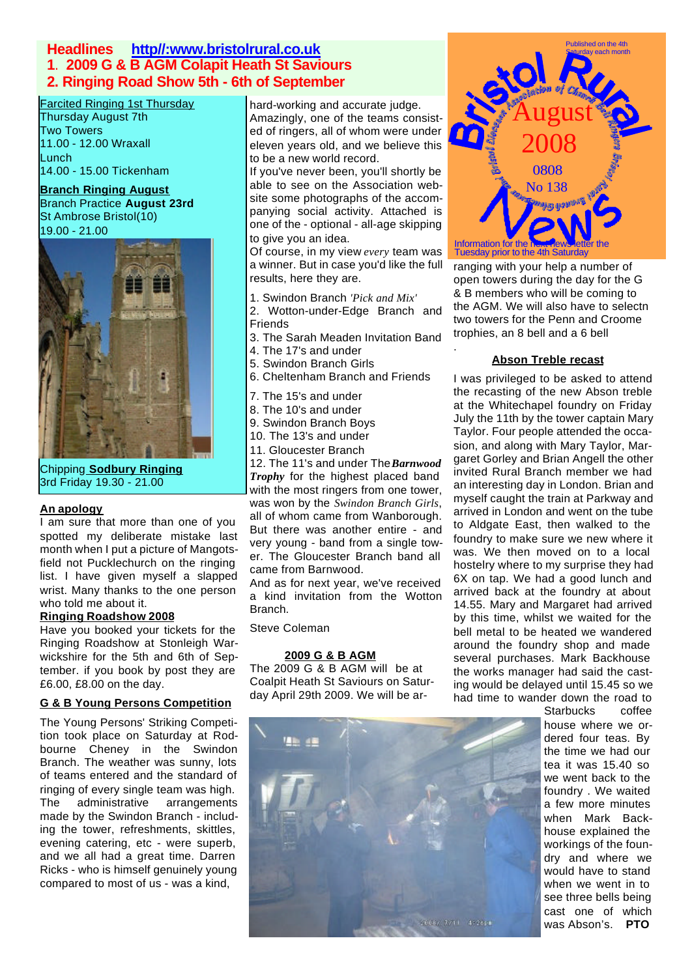# **Headlines http//:www.bristolrural.co.uk 1**. **2009 G & B AGM Colapit Heath St Saviours 2. Ringing Road Show 5th - 6th of September**

# **Farcited Ringing 1st Thursday**

Thursday August 7th Two Towers 11.00 - 12.00 Wraxall Lunch 14.00 - 15.00 Tickenham

### **Branch Ringing August**

Branch Practice **August 23rd** St Ambrose Bristol(10) 19.00 - 21.00



Chipping **Sodbury Ringing** 3rd Friday 19.30 - 21.00

#### **An apology**

I am sure that more than one of you spotted my deliberate mistake last month when I put a picture of Mangotsfield not Pucklechurch on the ringing list. I have given myself a slapped wrist. Many thanks to the one person who told me about it.

# **Ringing Roadshow 2008**

Have you booked your tickets for the Ringing Roadshow at Stonleigh Warwickshire for the 5th and 6th of September. if you book by post they are £6.00, £8.00 on the day.

# **G & B Young Persons Competition**

The Young Persons' Striking Competition took place on Saturday at Rodbourne Cheney in the Swindon Branch. The weather was sunny, lots of teams entered and the standard of ringing of every single team was high. The administrative arrangements made by the Swindon Branch - including the tower, refreshments, skittles, evening catering, etc - were superb, and we all had a great time. Darren Ricks - who is himself genuinely young compared to most of us - was a kind,

hard-working and accurate judge. arcited Ringing 1st Thursday hard-working and accurate judge.<br>Amazingly, one of the teams consist-<br>August ed of ringers, all of whom were under eleven years old, and we believe this to be a new world record.

If you've never been, you'll shortly be able to see on the Association website some photographs of the accompanying social activity. Attached is one of the - optional - all-age skipping to give you an idea.

Of course, in my view *every* team was a winner. But in case you'd like the full results, here they are.

1. Swindon Branch *'Pick and Mix'*

2. Wotton-under-Edge Branch and Friends

- 3. The Sarah Meaden Invitation Band
- 4. The 17's and under
- 5. Swindon Branch Girls
- 6. Cheltenham Branch and Friends
- 7. The 15's and under
- 8. The 10's and under
- 9. Swindon Branch Boys
- 10. The 13's and under
- 11. Gloucester Branch

12. The 11's and under The *Barnwood Trophy* for the highest placed band with the most ringers from one tower, was won by the *Swindon Branch Girls*, all of whom came from Wanborough. But there was another entire - and very young - band from a single tower. The Gloucester Branch band all came from Barnwood.

And as for next year, we've received a kind invitation from the Wotton Branch.

Steve Coleman

### **2009 G & B AGM**

The 2009 G & B AGM will be at Coalpit Heath St Saviours on Saturday April 29th 2009. We will be ar-





ranging with your help a number of open towers during the day for the G & B members who will be coming to the AGM. We will also have to selectn two towers for the Penn and Croome trophies, an 8 bell and a 6 bell

## **Abson Treble recast**

.

I was privileged to be asked to attend the recasting of the new Abson treble at the Whitechapel foundry on Friday July the 11th by the tower captain Mary Taylor. Four people attended the occasion, and along with Mary Taylor, Margaret Gorley and Brian Angell the other invited Rural Branch member we had an interesting day in London. Brian and myself caught the train at Parkway and arrived in London and went on the tube to Aldgate East, then walked to the foundry to make sure we new where it was. We then moved on to a local hostelry where to my surprise they had 6X on tap. We had a good lunch and arrived back at the foundry at about 14.55. Mary and Margaret had arrived by this time, whilst we waited for the bell metal to be heated we wandered around the foundry shop and made several purchases. Mark Backhouse the works manager had said the casting would be delayed until 15.45 so we had time to wander down the road to

Starbucks coffee house where we ordered four teas. By the time we had our tea it was 15.40 so we went back to the foundry . We waited a few more minutes when Mark Backhouse explained the workings of the foundry and where we would have to stand when we went in to see three bells being cast one of which was Abson's. **PTO**